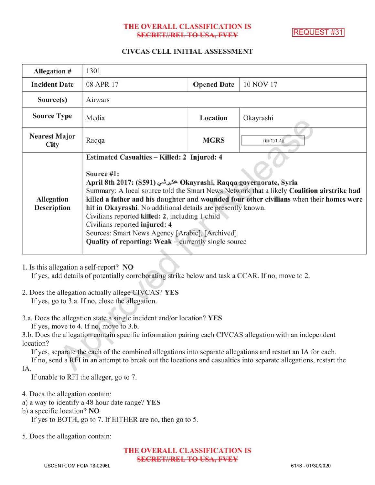### THE OVERALL CLASSIFICATION IS **SECRET//REL TO USA, FVEY**

REQUEST #31

### CIVCAS CELL INITIAL ASSESSMENT

| Allegation #                        | 1301                                                                                                                                                                                                                                                                                                                                                                                                                                                                                                                                                                                                          |                    |            |
|-------------------------------------|---------------------------------------------------------------------------------------------------------------------------------------------------------------------------------------------------------------------------------------------------------------------------------------------------------------------------------------------------------------------------------------------------------------------------------------------------------------------------------------------------------------------------------------------------------------------------------------------------------------|--------------------|------------|
| <b>Incident Date</b>                | 08 APR 17                                                                                                                                                                                                                                                                                                                                                                                                                                                                                                                                                                                                     | <b>Opened Date</b> | 10 NOV 17  |
| Source(s)                           | Airwars                                                                                                                                                                                                                                                                                                                                                                                                                                                                                                                                                                                                       |                    |            |
| <b>Source Type</b>                  | Media                                                                                                                                                                                                                                                                                                                                                                                                                                                                                                                                                                                                         | Location           | Okayrashi  |
| <b>Nearest Major</b><br><b>City</b> | Raqqa                                                                                                                                                                                                                                                                                                                                                                                                                                                                                                                                                                                                         | <b>MGRS</b>        | (b)(1)1.4a |
| Allegation<br><b>Description</b>    | Estimated Casualties - Killed: 2 Injured: 4<br>Source #1:<br>April 8th 2017: (S591) عكيرشي Okayrashi, Raqqa governorate, Syria<br>Summary: A local source told the Smart News Network that a likely Coalition airstrike had<br>killed a father and his daughter and wounded four other civilians when their homes were<br>hit in Okayrashi. No additional details are presently known.<br>Civilians reported killed: 2, including 1 child<br>Civilians reported injured: 4<br>Sources: Smart News Agency [Arabic], [Archived]<br>Quality of reporting: Weak – currently single source<br><b>START COMPANY</b> |                    |            |

If yes, add details of potentially corroborating strike below and task a CCAR. If no, move to 2.

- 2. Does the allegation actually allege CIVCAS? YES If yes, go to 3.a. If no, close the allegation.
- 3.a. Does the allegation state a single incident and/or location? YES If yes, move to 4. If no, move to  $3.b$ .
- 
- 3.b. Does the allegation contain specific information pairing each CIVCAS allegation with an independent location?

Ifyes, separate the each of the combined allegations into separate allegations and restart an IA for each. Ifno, send <sup>a</sup> RFI in an attempt to break out the locations and casualties into separate allegations, restart the

IA

If unable to RFI the alleger, go to 7.

- 4. Does the allegation contain:
- a) <sup>a</sup> way to identify a 48 hour date range? YES
- b) a specific location? NO

If yes to BOTH, go to 7. If EITHER are no, then go to 5.

5. Does the allegation contain:

THE OVERALL CLASSIFICATION IS SECRET//REL TO USA, FVEY

<sup>1.</sup> Is this allegation a self-report? NO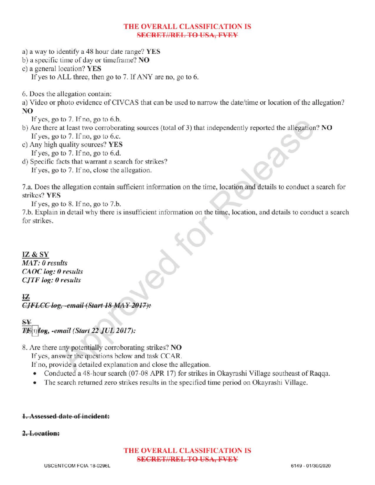### THE OVERALL CLASSIFICATION IS SECRETIAREL TO USA, FVEY

a) <sup>a</sup> way to identify a 48 hour date range? YES

b) a specific time of day or timeframe?  $NO$ 

c) <sup>a</sup> general location? YES

If yes to ALL three, then go to 7. If ANY are no, go to 6.

6. Does the allegation contain:

a) Video or photo evidence of CIVCAS that can be used to narrow the date/time or location of the allegation? NO

Ifyes, go to 7. Ifno, go to 6.b.

b) Are there at least two corroborating sources (total of 3) that independently reported the allegation? NO If yes, go to  $7$ . If no, go to 6.c.

c) Any high quality sources? YES If yes, go to  $7.$  If no, go to  $6.d.$ 

d) Specific facts that warrant a search for strikes? If yes, go to 7. If no, close the allegation.

7.a. Does the allegation contain sufficient information on the time, location and details to conduct a search for strikes? YES

If yes, go to 8. If no, go to 7.b.

7.b. Explain in detail why there is insufficient information on the time, location, and details to conduct <sup>a</sup> search a for strikes

# IZ & SY

MAT: 0 results CAOC log: 0 results  $CJTF log: 0$  results

## IZ CJFLCC log, -email (Start 18 MAY 2017):

 $\rightarrow$  $T\ddot{\bm{b}}$ (1) $\bm{b}$ eg, -email (Start 22 JUL 2017):

8. Are there any potentially corroborating strikes? NO

Ifyes, answer the questions below and task CCAR.

If no, provide a detailed explanation and close the allegation.

- Conducted a 48-hour search (07-08 APR 17) for strikes in Okayrashi Village southeast of Raqqa.
- The search returned zero strikes results in the specified time period on Okayrashi Village .

## 1. Assessed date of incident:

## 2.Location:

### THE OVERALL CLASSIFICATION IS SECRET//REL TO USA, FVEY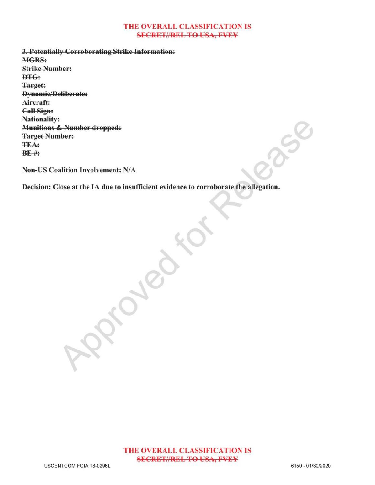#### THE OVERALL CLASSIFICATION IS **SECRET//REL TO USA, FVEY**

3. Potentially Corroborating Strike Information: MGRS: Strike Number: DTG: Target: Dynamic/Deliberate: Aircraft: CallSign: Nationality: Munitions & Number dropped: Target Number: TEA:  $BF$ #

Non-US Coalition Involvement: N/A

Decision: Close at the IA due to insufficient evidence to corroborate the allegation. for

 $-8$